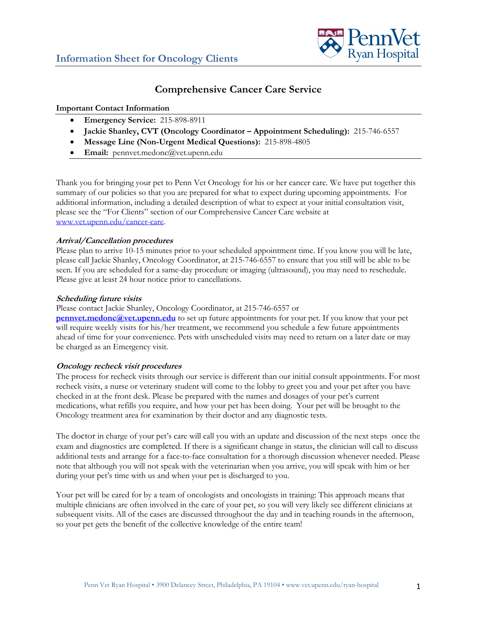

# **Comprehensive Cancer Care Service**

## **Important Contact Information**

- **Emergency Service:** 215-898-8911
- **Jackie Shanley, CVT (Oncology Coordinator – Appointment Scheduling):** 215-746-6557
- **Message Line (Non-Urgent Medical Questions):** 215-898-4805
- **Email:** pennvet.medonc@vet.upenn.edu

Thank you for bringing your pet to Penn Vet Oncology for his or her cancer care. We have put together this summary of our policies so that you are prepared for what to expect during upcoming appointments. For additional information, including a detailed description of what to expect at your initial consultation visit, please see the "For Clients" section of our Comprehensive Cancer Care website at www.vet.upenn.edu/cancer-care.

## **Arrival/Cancellation procedures**

Please plan to arrive 10-15 minutes prior to your scheduled appointment time. If you know you will be late, please call Jackie Shanley, Oncology Coordinator, at 215-746-6557 to ensure that you still will be able to be seen. If you are scheduled for a same-day procedure or imaging (ultrasound), you may need to reschedule. Please give at least 24 hour notice prior to cancellations.

### **Scheduling future visits**

#### Please contact Jackie Shanley, Oncology Coordinator, at 215-746-6557 or

**pennvet.medonc@vet.upenn.edu** to set up future appointments for your pet. If you know that your pet will require weekly visits for his/her treatment, we recommend you schedule a few future appointments ahead of time for your convenience. Pets with unscheduled visits may need to return on a later date or may be charged as an Emergency visit.

## **Oncology recheck visit procedures**

The process for recheck visits through our service is different than our initial consult appointments. For most recheck visits, a nurse or veterinary student will come to the lobby to greet you and your pet after you have checked in at the front desk. Please be prepared with the names and dosages of your pet's current medications, what refills you require, and how your pet has been doing. Your pet will be brought to the Oncology treatment area for examination by their doctor and any diagnostic tests.

The doctor in charge of your pet's care will call you with an update and discussion of the next steps once the exam and diagnostics are completed. If there is a significant change in status, the clinician will call to discuss additional tests and arrange for a face-to-face consultation for a thorough discussion whenever needed. Please note that although you will not speak with the veterinarian when you arrive, you will speak with him or her during your pet's time with us and when your pet is discharged to you.

Your pet will be cared for by a team of oncologists and oncologists in training: This approach means that multiple clinicians are often involved in the care of your pet, so you will very likely see different clinicians at subsequent visits. All of the cases are discussed throughout the day and in teaching rounds in the afternoon, so your pet gets the benefit of the collective knowledge of the entire team!